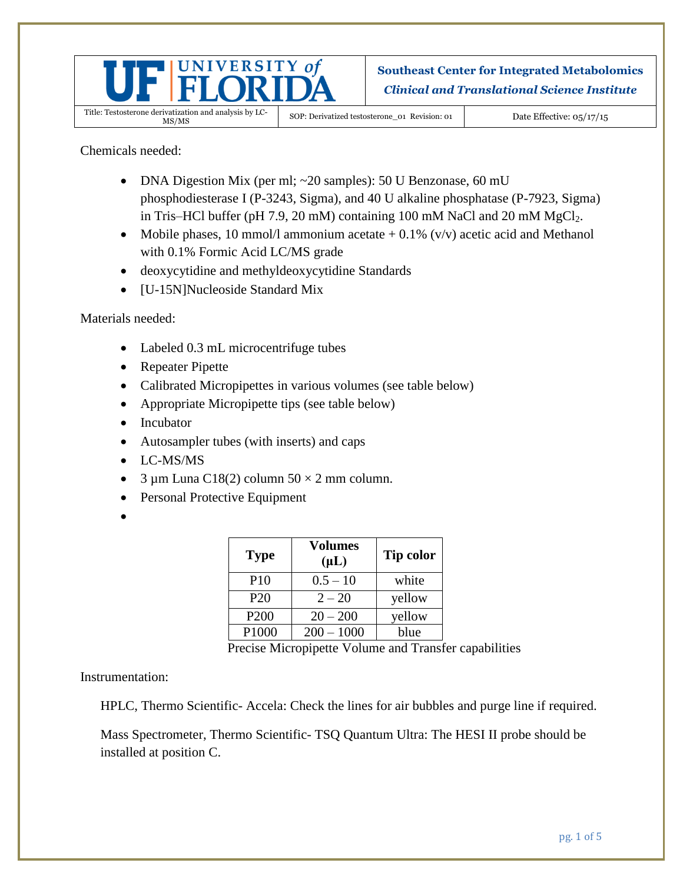

**Southeast Center for Integrated Metabolomics** *Clinical and Translational Science Institute*

SOP: Derivatized testosterone\_01 Revision: 01 Date Effective: 05/17/15

Chemicals needed:

- DNA Digestion Mix (per ml; ~20 samples): 50 U Benzonase, 60 mU phosphodiesterase I (P-3243, Sigma), and 40 U alkaline phosphatase (P-7923, Sigma) in Tris–HCl buffer (pH 7.9, 20 mM) containing 100 mM NaCl and 20 mM  $MgCl<sub>2</sub>$ .
- Mobile phases, 10 mmol/l ammonium acetate  $+$  0.1% (v/v) acetic acid and Methanol with 0.1% Formic Acid LC/MS grade
- deoxycytidine and methyldeoxycytidine Standards
- [U-15N]Nucleoside Standard Mix

Materials needed:

- Labeled 0.3 mL microcentrifuge tubes
- Repeater Pipette
- Calibrated Micropipettes in various volumes (see table below)
- Appropriate Micropipette tips (see table below)
- Incubator
- Autosampler tubes (with inserts) and caps
- LC-MS/MS
- $\bullet$  3 µm Luna C18(2) column 50  $\times$  2 mm column.
- Personal Protective Equipment
- $\bullet$

| <b>Type</b>      | <b>Volumes</b><br>$(\mu L)$ | Tip color |
|------------------|-----------------------------|-----------|
| P <sub>10</sub>  | $0.5 - 10$                  | white     |
| P <sub>20</sub>  | $2 - 20$                    | yellow    |
| P <sub>200</sub> | $20 - 200$                  | yellow    |
| P1000            | $200 - 1000$                | blue      |

Precise Micropipette Volume and Transfer capabilities

Instrumentation:

HPLC, Thermo Scientific- Accela: Check the lines for air bubbles and purge line if required.

Mass Spectrometer, Thermo Scientific- TSQ Quantum Ultra: The HESI II probe should be installed at position C.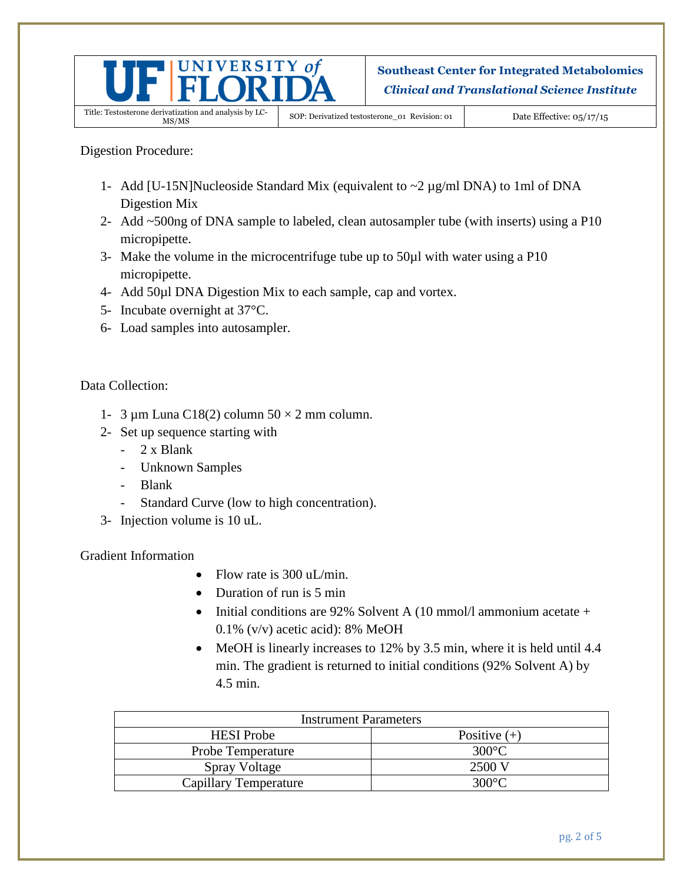

**Southeast Center for Integrated Metabolomics** *Clinical and Translational Science Institute*

SOP: Derivatized testosterone\_01 Revision: 01 Date Effective: 05/17/15

Digestion Procedure:

- 1- Add [U-15N]Nucleoside Standard Mix (equivalent to ~2 µg/ml DNA) to 1ml of DNA Digestion Mix
- 2- Add ~500ng of DNA sample to labeled, clean autosampler tube (with inserts) using a P10 micropipette.
- 3- Make the volume in the microcentrifuge tube up to 50µl with water using a P10 micropipette.
- 4- Add 50µl DNA Digestion Mix to each sample, cap and vortex.
- 5- Incubate overnight at 37°C.
- 6- Load samples into autosampler.

Data Collection:

- 1- 3  $\mu$ m Luna C18(2) column 50  $\times$  2 mm column.
- 2- Set up sequence starting with
	- 2 x Blank
	- Unknown Samples
	- Blank
	- Standard Curve (low to high concentration).
- 3- Injection volume is 10 uL.

Gradient Information

- Flow rate is 300 uL/min.
- Duration of run is 5 min
- Initial conditions are 92% Solvent A (10 mmol/l ammonium acetate + 0.1% (v/v) acetic acid): 8% MeOH
- MeOH is linearly increases to 12% by 3.5 min, where it is held until 4.4 min. The gradient is returned to initial conditions (92% Solvent A) by 4.5 min.

| <b>Instrument Parameters</b> |                |  |  |  |
|------------------------------|----------------|--|--|--|
| <b>HESI</b> Probe            | Positive $(+)$ |  |  |  |
| Probe Temperature            | 300°C.         |  |  |  |
| Spray Voltage                | 2500 V         |  |  |  |
| <b>Capillary Temperature</b> | 300°C.         |  |  |  |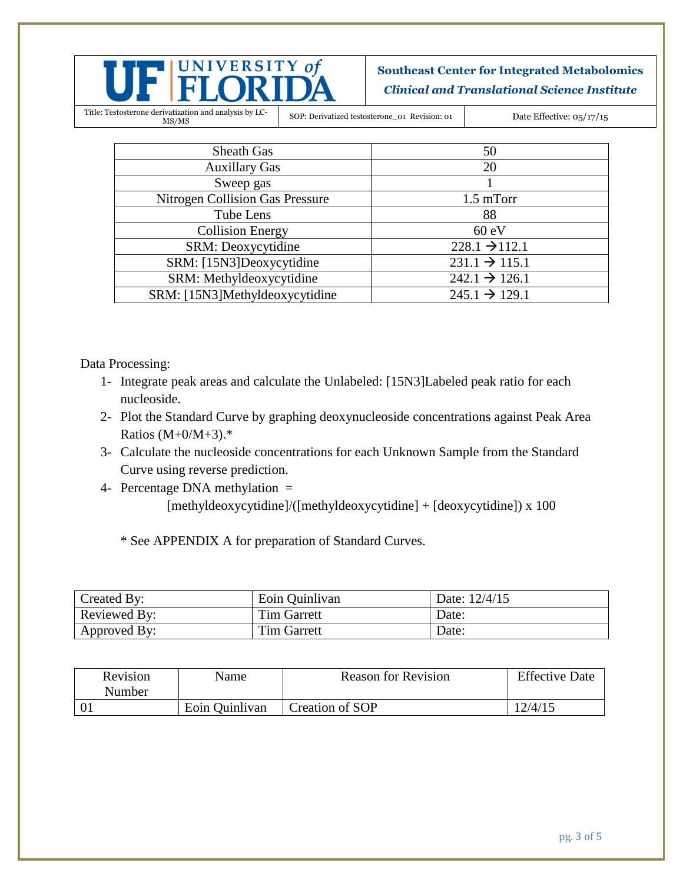

**Southeast Center for Integrated Metabolomics** *Clinical and Translational Science Institute*

Title: Testosterone derivatization and analysis by LC-

SOP: Derivatized testosterone\_01 Revision: 01 Date Effective: 05/17/15

| <b>Sheath Gas</b>                      | 50                        |
|----------------------------------------|---------------------------|
|                                        |                           |
| <b>Auxillary Gas</b>                   | 20                        |
| Sweep gas                              |                           |
| <b>Nitrogen Collision Gas Pressure</b> | $1.5 \text{ mTorr}$       |
| Tube Lens                              | 88                        |
| <b>Collision Energy</b>                | 60 eV                     |
| SRM: Deoxycytidine                     | $228.1 \rightarrow 112.1$ |
| SRM: [15N3]Deoxycytidine               | $231.1 \rightarrow 115.1$ |
| SRM: Methyldeoxycytidine               | $242.1 \rightarrow 126.1$ |
| SRM: [15N3]Methyldeoxycytidine         | $245.1 \rightarrow 129.1$ |

Data Processing:

- 1- Integrate peak areas and calculate the Unlabeled: [15N3]Labeled peak ratio for each nucleoside.
- 2- Plot the Standard Curve by graphing deoxynucleoside concentrations against Peak Area Ratios (M+0/M+3).\*
- 3- Calculate the nucleoside concentrations for each Unknown Sample from the Standard Curve using reverse prediction.
- 4- Percentage DNA methylation = [methyldeoxycytidine]/([methyldeoxycytidine] + [deoxycytidine]) x 100

\* See APPENDIX A for preparation of Standard Curves.

| Created By:         | Eoin Quinlivan     | Date: 12/4/15 |
|---------------------|--------------------|---------------|
| <b>Reviewed By:</b> | Tim Garrett        | Date:         |
| Approved By:        | <b>Tim Garrett</b> | Date:         |

| Revision<br>Number | Name           | <b>Reason for Revision</b> | <b>Effective Date</b> |
|--------------------|----------------|----------------------------|-----------------------|
|                    | Eoin Quinlivan | Creation of SOP            | 12/4/15               |